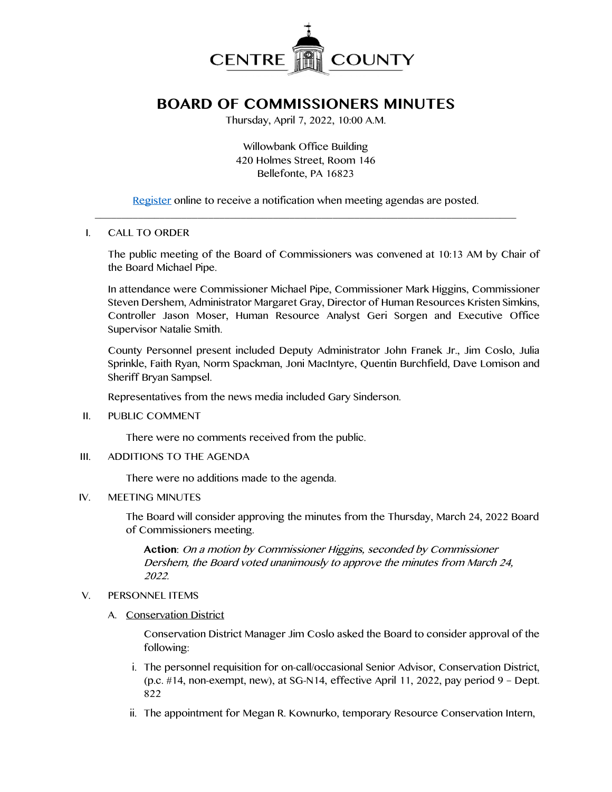

# **BOARD OF COMMISSIONERS MINUTES**

Thursday, April 7, 2022, 10:00 A.M.

Willowbank Office Building 420 Holmes Street, Room 146 Bellefonte, PA 16823

[Register](http://www.centrecountypa.gov/AgendaCenter) online to receive a notification when meeting agendas are posted.  $\mathcal{L} = \{ \mathcal{L} = \{ \mathcal{L} \mid \mathcal{L} = \{ \mathcal{L} \mid \mathcal{L} = \{ \mathcal{L} \mid \mathcal{L} = \{ \mathcal{L} \mid \mathcal{L} = \{ \mathcal{L} \mid \mathcal{L} = \{ \mathcal{L} \mid \mathcal{L} = \{ \mathcal{L} \mid \mathcal{L} = \{ \mathcal{L} \mid \mathcal{L} = \{ \mathcal{L} \mid \mathcal{L} = \{ \mathcal{L} \mid \mathcal{L} = \{ \mathcal{L} \mid \mathcal{L} = \{ \mathcal{L} \mid \mathcal{L} =$ 

#### I. CALL TO ORDER

The public meeting of the Board of Commissioners was convened at 10:13 AM by Chair of the Board Michael Pipe.

In attendance were Commissioner Michael Pipe, Commissioner Mark Higgins, Commissioner Steven Dershem, Administrator Margaret Gray, Director of Human Resources Kristen Simkins, Controller Jason Moser, Human Resource Analyst Geri Sorgen and Executive Office Supervisor Natalie Smith.

County Personnel present included Deputy Administrator John Franek Jr., Jim Coslo, Julia Sprinkle, Faith Ryan, Norm Spackman, Joni MacIntyre, Quentin Burchfield, Dave Lomison and Sheriff Bryan Sampsel.

Representatives from the news media included Gary Sinderson.

II. PUBLIC COMMENT

There were no comments received from the public.

III. ADDITIONS TO THE AGENDA

There were no additions made to the agenda.

#### IV. MEETING MINUTES

The Board will consider approving the minutes from the Thursday, March 24, 2022 Board of Commissioners meeting.

**Action**: On a motion by Commissioner Higgins, seconded by Commissioner Dershem, the Board voted unanimously to approve the minutes from March 24, 2022.

#### V. PERSONNEL ITEMS

A. Conservation District

Conservation District Manager Jim Coslo asked the Board to consider approval of the following:

- i. The personnel requisition for on-call/occasional Senior Advisor, Conservation District, (p.c.  $\#14$ , non-exempt, new), at SG-N14, effective April 11, 2022, pay period 9 – Dept. 822
- ii. The appointment for Megan R. Kownurko, temporary Resource Conservation Intern,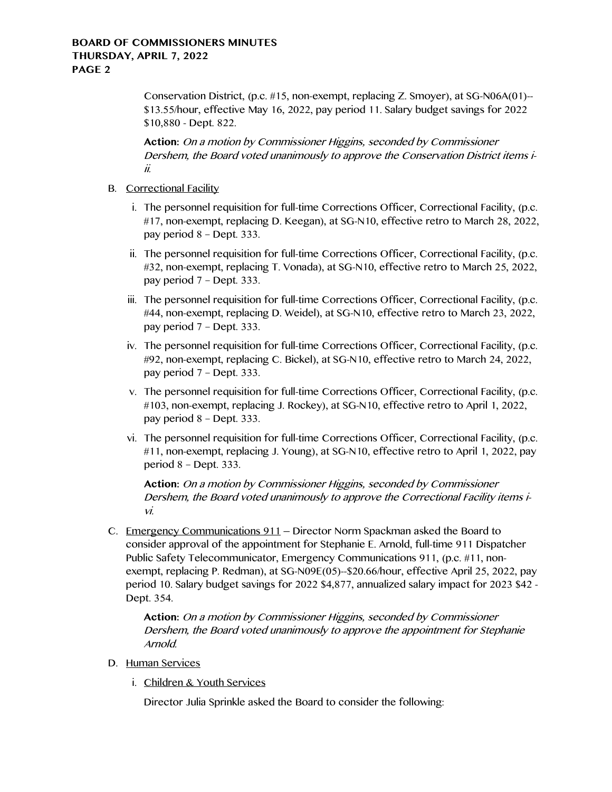#### **BOARD OF COMMISSIONERS MINUTES THURSDAY, APRIL 7, 2022 PAGE 2**

Conservation District, (p.c. #15, non-exempt, replacing Z. Smoyer), at SG-N06A(01)-- \$13.55/hour, effective May 16, 2022, pay period 11. Salary budget savings for 2022 \$10,880 - Dept. 822.

**Action:** On a motion by Commissioner Higgins, seconded by Commissioner Dershem, the Board voted unanimously to approve the Conservation District items iii.

- B. Correctional Facility
	- i. The personnel requisition for full-time Corrections Officer, Correctional Facility, (p.c. #17, non-exempt, replacing D. Keegan), at SG-N10, effective retro to March 28, 2022, pay period 8 – Dept. 333.
	- ii. The personnel requisition for full-time Corrections Officer, Correctional Facility, (p.c. #32, non-exempt, replacing T. Vonada), at SG-N10, effective retro to March 25, 2022, pay period 7 – Dept. 333.
	- iii. The personnel requisition for full-time Corrections Officer, Correctional Facility, (p.c. #44, non-exempt, replacing D. Weidel), at SG-N10, effective retro to March 23, 2022, pay period 7 – Dept. 333.
	- iv. The personnel requisition for full-time Corrections Officer, Correctional Facility, (p.c. #92, non-exempt, replacing C. Bickel), at SG-N10, effective retro to March 24, 2022, pay period 7 – Dept. 333.
	- v. The personnel requisition for full-time Corrections Officer, Correctional Facility, (p.c. #103, non-exempt, replacing J. Rockey), at SG-N10, effective retro to April 1, 2022, pay period 8 – Dept. 333.
	- vi. The personnel requisition for full-time Corrections Officer, Correctional Facility, (p.c. #11, non-exempt, replacing J. Young), at SG-N10, effective retro to April 1, 2022, pay period 8 – Dept. 333.

**Action:** On a motion by Commissioner Higgins, seconded by Commissioner Dershem, the Board voted unanimously to approve the Correctional Facility items ivi.

C. Emergency Communications 911 – Director Norm Spackman asked the Board to consider approval of the appointment for Stephanie E. Arnold, full-time 911 Dispatcher Public Safety Telecommunicator, Emergency Communications 911, (p.c. #11, nonexempt, replacing P. Redman), at SG-N09E(05)--\$20.66/hour, effective April 25, 2022, pay period 10. Salary budget savings for 2022 \$4,877, annualized salary impact for 2023 \$42 - Dept. 354.

**Action:** On a motion by Commissioner Higgins, seconded by Commissioner Dershem, the Board voted unanimously to approve the appointment for Stephanie Arnold.

#### D. Human Services

i. Children & Youth Services

Director Julia Sprinkle asked the Board to consider the following: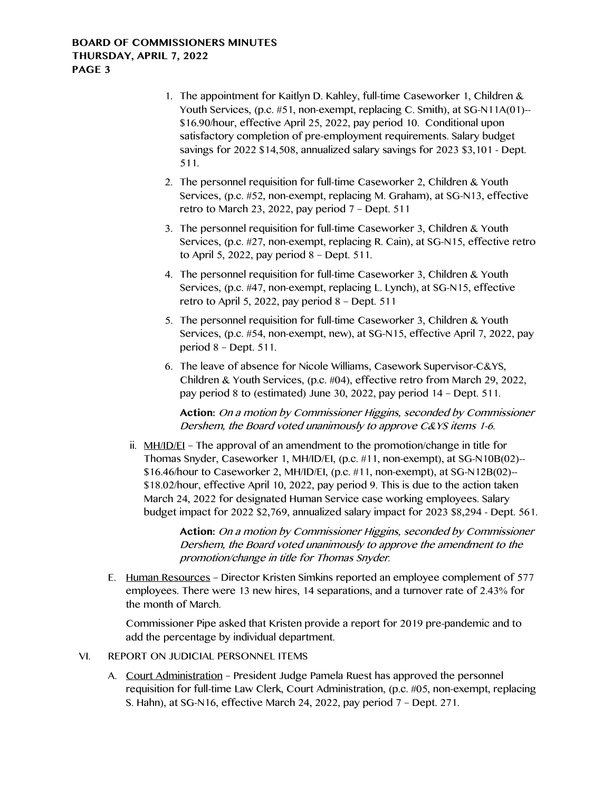- 1. The appointment for Kaitlyn D. Kahley, full-time Caseworker 1, Children & Youth Services, (p.c. #51, non-exempt, replacing C. Smith), at SG-N11A(01)--\$16.90/hour, effective April 25, 2022, pay period 10. Conditional upon satisfactory completion of pre-employment requirements. Salary budget savings for 2022 \$14,508, annualized salary savings for 2023 \$3,101 - Dept. 511.
- 2. The personnel requisition for full-time Caseworker 2, Children & Youth Services, (p.c. #52, non-exempt, replacing M. Graham), at SG-N13, effective retro to March 23, 2022, pay period 7 – Dept. 511
- 3. The personnel requisition for full-time Caseworker 3, Children & Youth Services, (p.c. #27, non-exempt, replacing R. Cain), at SG-N15, effective retro to April 5, 2022, pay period 8 – Dept. 511.
- 4. The personnel requisition for full-time Caseworker 3, Children & Youth Services, (p.c. #47, non-exempt, replacing L. Lynch), at SG-N15, effective retro to April 5, 2022, pay period 8 – Dept. 511
- 5. The personnel requisition for full-time Caseworker 3, Children & Youth Services, (p.c. #54, non-exempt, new), at SG-N15, effective April 7, 2022, pay period 8 – Dept. 511.
- 6. The leave of absence for Nicole Williams, Casework Supervisor-C&YS, Children & Youth Services, (p.c. #04), effective retro from March 29, 2022, pay period 8 to (estimated) June 30, 2022, pay period 14 – Dept. 511.

**Action:** On a motion by Commissioner Higgins, seconded by Commissioner Dershem, the Board voted unanimously to approve C&YS items 1-6.

ii. MH/ID/EI – The approval of an amendment to the promotion/change in title for Thomas Snyder, Caseworker 1, MH/ID/EI, (p.c. #11, non-exempt), at SG-N10B(02)-- \$16.46/hour to Caseworker 2, MH/ID/EI, (p.c. #11, non-exempt), at SG-N12B(02)-- \$18.02/hour, effective April 10, 2022, pay period 9. This is due to the action taken March 24, 2022 for designated Human Service case working employees. Salary budget impact for 2022 \$2,769, annualized salary impact for 2023 \$8,294 - Dept. 561.

> **Action:** On a motion by Commissioner Higgins, seconded by Commissioner Dershem, the Board voted unanimously to approve the amendment to the promotion/change in title for Thomas Snyder.

E. Human Resources – Director Kristen Simkins reported an employee complement of 577 employees. There were 13 new hires, 14 separations, and a turnover rate of 2.43% for the month of March.

Commissioner Pipe asked that Kristen provide a report for 2019 pre-pandemic and to add the percentage by individual department.

- VI. REPORT ON JUDICIAL PERSONNEL ITEMS
	- A. Court Administration President Judge Pamela Ruest has approved the personnel requisition for full-time Law Clerk, Court Administration, (p.c. #05, non-exempt, replacing S. Hahn), at SG-N16, effective March 24, 2022, pay period 7 – Dept. 271.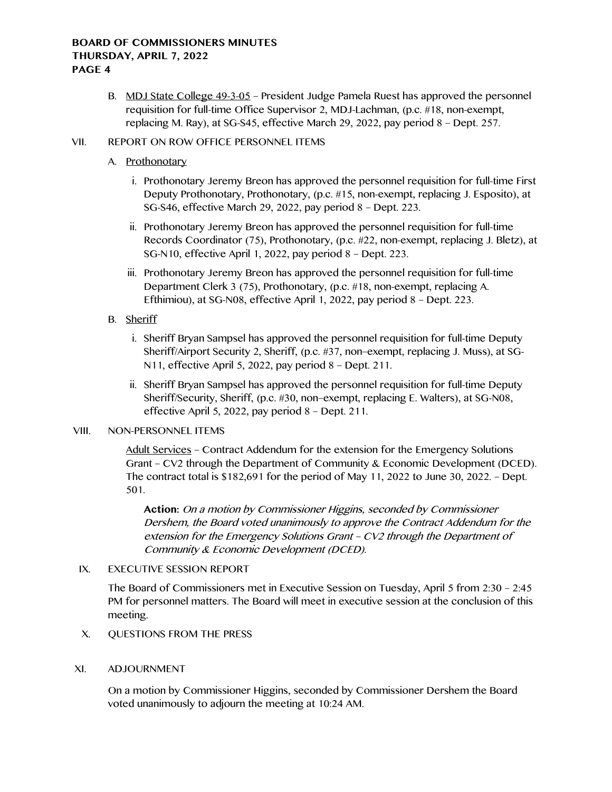#### **BOARD OF COMMISSIONERS MINUTES THURSDAY, APRIL 7, 2022 PAGE 4**

B. MDJ State College 49-3-05 – President Judge Pamela Ruest has approved the personnel requisition for full-time Office Supervisor 2, MDJ-Lachman, (p.c. #18, non-exempt, replacing M. Ray), at SG-S45, effective March 29, 2022, pay period 8 – Dept. 257.

#### VII. REPORT ON ROW OFFICE PERSONNEL ITEMS

#### A. Prothonotary

- i. Prothonotary Jeremy Breon has approved the personnel requisition for full-time First Deputy Prothonotary, Prothonotary, (p.c. #15, non-exempt, replacing J. Esposito), at SG-S46, effective March 29, 2022, pay period 8 – Dept. 223.
- ii. Prothonotary Jeremy Breon has approved the personnel requisition for full-time Records Coordinator (75), Prothonotary, (p.c. #22, non-exempt, replacing J. Bletz), at SG-N10, effective April 1, 2022, pay period 8 – Dept. 223.
- iii. Prothonotary Jeremy Breon has approved the personnel requisition for full-time Department Clerk 3 (75), Prothonotary, (p.c. #18, non-exempt, replacing A. Efthimiou), at SG-N08, effective April 1, 2022, pay period 8 – Dept. 223.

## B. Sheriff

- i. Sheriff Bryan Sampsel has approved the personnel requisition for full-time Deputy Sheriff/Airport Security 2, Sheriff, (p.c. #37, non–exempt, replacing J. Muss), at SG-N11, effective April 5, 2022, pay period 8 – Dept. 211.
- ii. Sheriff Bryan Sampsel has approved the personnel requisition for full-time Deputy Sheriff/Security, Sheriff, (p.c. #30, non–exempt, replacing E. Walters), at SG-N08, effective April 5, 2022, pay period 8 – Dept. 211.

## VIII. NON-PERSONNEL ITEMS

Adult Services – Contract Addendum for the extension for the Emergency Solutions Grant – CV2 through the Department of Community & Economic Development (DCED). The contract total is  $$182,691$  for the period of May 11, 2022 to June 30, 2022. – Dept. 501.

**Action:** On a motion by Commissioner Higgins, seconded by Commissioner Dershem, the Board voted unanimously to approve the Contract Addendum for the extension for the Emergency Solutions Grant – CV2 through the Department of Community & Economic Development (DCED).

## IX. EXECUTIVE SESSION REPORT

The Board of Commissioners met in Executive Session on Tuesday, April 5 from 2:30 – 2:45 PM for personnel matters. The Board will meet in executive session at the conclusion of this meeting.

- X. QUESTIONS FROM THE PRESS
- XI. ADJOURNMENT

On a motion by Commissioner Higgins, seconded by Commissioner Dershem the Board voted unanimously to adjourn the meeting at 10:24 AM.